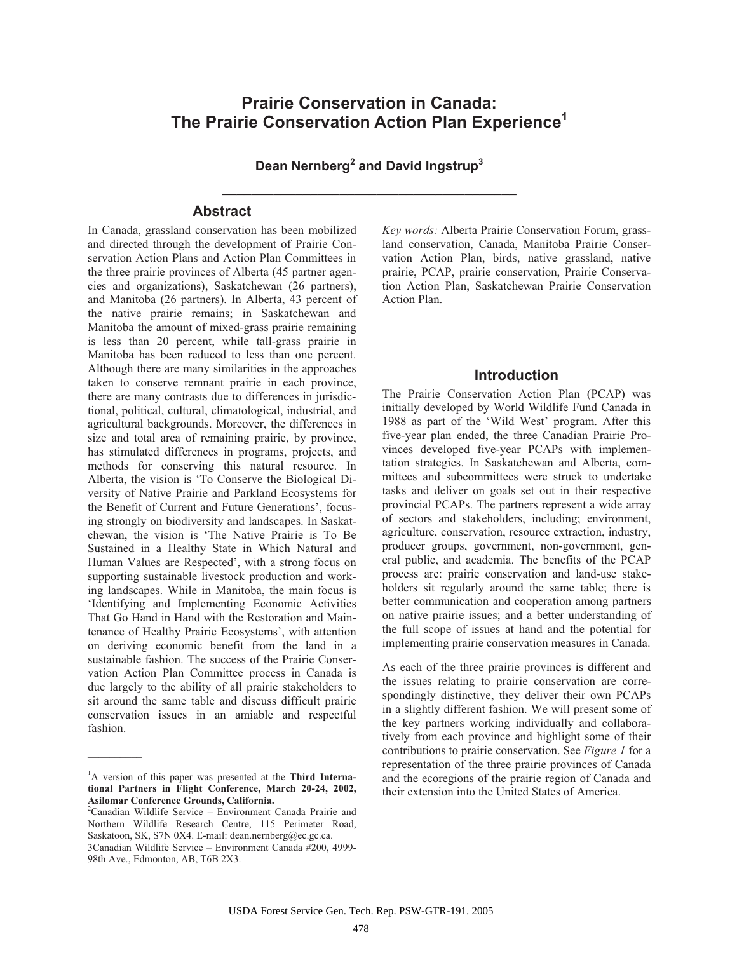# **Prairie Conservation in Canada: The Prairie Conservation Action Plan Experience<sup>1</sup>**

**Dean Nernberg<sup>2</sup> and David Ingstrup3 \_\_\_\_\_\_\_\_\_\_\_\_\_\_\_\_\_\_\_\_\_\_\_\_\_\_\_\_\_\_\_\_\_\_\_\_\_\_\_\_**

# **Abstract**

In Canada, grassland conservation has been mobilized and directed through the development of Prairie Conservation Action Plans and Action Plan Committees in the three prairie provinces of Alberta (45 partner agencies and organizations), Saskatchewan (26 partners), and Manitoba (26 partners). In Alberta, 43 percent of the native prairie remains; in Saskatchewan and Manitoba the amount of mixed-grass prairie remaining is less than 20 percent, while tall-grass prairie in Manitoba has been reduced to less than one percent. Although there are many similarities in the approaches taken to conserve remnant prairie in each province, there are many contrasts due to differences in jurisdictional, political, cultural, climatological, industrial, and agricultural backgrounds. Moreover, the differences in size and total area of remaining prairie, by province, has stimulated differences in programs, projects, and methods for conserving this natural resource. In Alberta, the vision is 'To Conserve the Biological Diversity of Native Prairie and Parkland Ecosystems for the Benefit of Current and Future Generations', focusing strongly on biodiversity and landscapes. In Saskatchewan, the vision is 'The Native Prairie is To Be Sustained in a Healthy State in Which Natural and Human Values are Respected', with a strong focus on supporting sustainable livestock production and working landscapes. While in Manitoba, the main focus is 'Identifying and Implementing Economic Activities That Go Hand in Hand with the Restoration and Maintenance of Healthy Prairie Ecosystems', with attention on deriving economic benefit from the land in a sustainable fashion. The success of the Prairie Conservation Action Plan Committee process in Canada is due largely to the ability of all prairie stakeholders to sit around the same table and discuss difficult prairie conservation issues in an amiable and respectful fashion.

 $\overline{\phantom{a}}$ 

*Key words:* Alberta Prairie Conservation Forum, grassland conservation, Canada, Manitoba Prairie Conservation Action Plan, birds, native grassland, native prairie, PCAP, prairie conservation, Prairie Conservation Action Plan, Saskatchewan Prairie Conservation Action Plan.

#### **Introduction**

The Prairie Conservation Action Plan (PCAP) was initially developed by World Wildlife Fund Canada in 1988 as part of the 'Wild West' program. After this five-year plan ended, the three Canadian Prairie Provinces developed five-year PCAPs with implementation strategies. In Saskatchewan and Alberta, committees and subcommittees were struck to undertake tasks and deliver on goals set out in their respective provincial PCAPs. The partners represent a wide array of sectors and stakeholders, including; environment, agriculture, conservation, resource extraction, industry, producer groups, government, non-government, general public, and academia. The benefits of the PCAP process are: prairie conservation and land-use stakeholders sit regularly around the same table; there is better communication and cooperation among partners on native prairie issues; and a better understanding of the full scope of issues at hand and the potential for implementing prairie conservation measures in Canada.

As each of the three prairie provinces is different and the issues relating to prairie conservation are correspondingly distinctive, they deliver their own PCAPs in a slightly different fashion. We will present some of the key partners working individually and collaboratively from each province and highlight some of their contributions to prairie conservation. See *Figure 1* for a representation of the three prairie provinces of Canada and the ecoregions of the prairie region of Canada and their extension into the United States of America.

<sup>1</sup> A version of this paper was presented at the **Third International Partners in Flight Conference, March 20-24, 2002, Asilomar Conference Grounds, California.** 

<sup>2</sup> Canadian Wildlife Service – Environment Canada Prairie and Northern Wildlife Research Centre, 115 Perimeter Road, Saskatoon, SK, S7N 0X4. E-mail: dean.nernberg@ec.gc.ca. 3Canadian Wildlife Service – Environment Canada #200, 4999- 98th Ave., Edmonton, AB, T6B 2X3.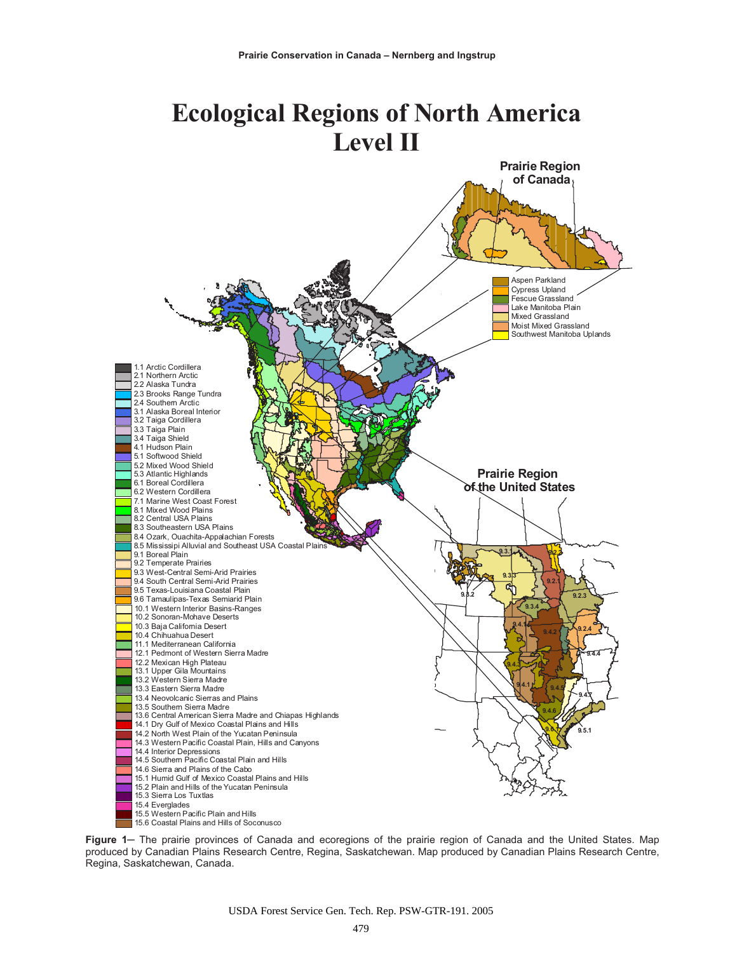# **Ecological Regions of North America Level II**



Figure 1– The prairie provinces of Canada and ecoregions of the prairie region of Canada and the United States. Map produced by Canadian Plains Research Centre, Regina, Saskatchewan. Map produced by Canadian Plains Research Centre, Regina, Saskatchewan, Canada.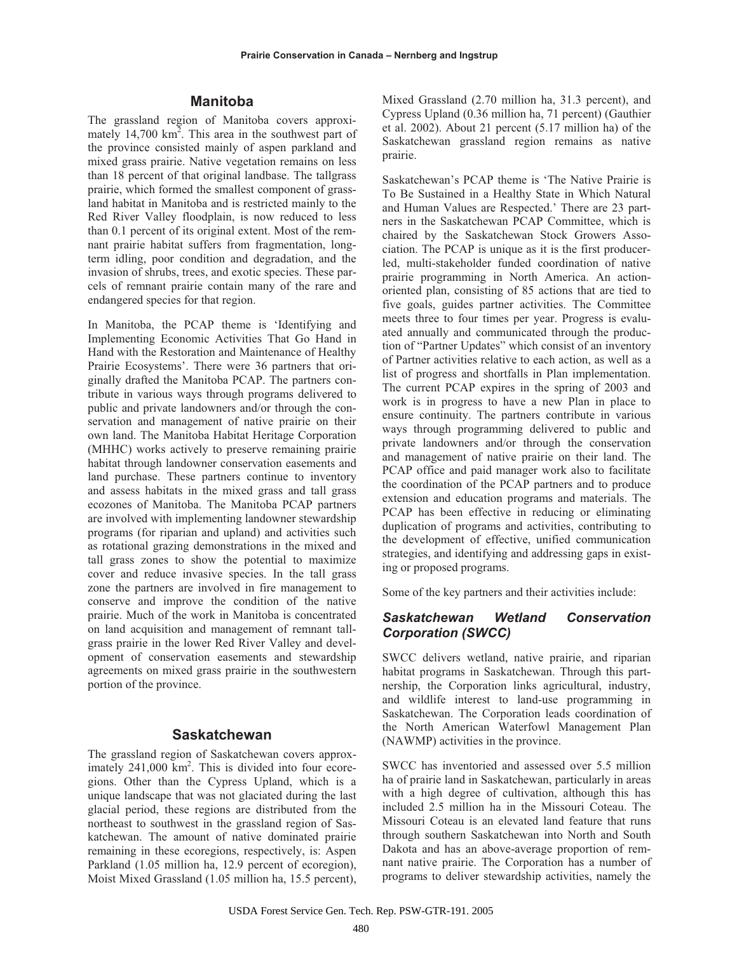#### **Manitoba**

The grassland region of Manitoba covers approximately 14,700  $\text{km}^2$ . This area in the southwest part of the province consisted mainly of aspen parkland and mixed grass prairie. Native vegetation remains on less than 18 percent of that original landbase. The tallgrass prairie, which formed the smallest component of grassland habitat in Manitoba and is restricted mainly to the Red River Valley floodplain, is now reduced to less than 0.1 percent of its original extent. Most of the remnant prairie habitat suffers from fragmentation, longterm idling, poor condition and degradation, and the invasion of shrubs, trees, and exotic species. These parcels of remnant prairie contain many of the rare and endangered species for that region.

In Manitoba, the PCAP theme is 'Identifying and Implementing Economic Activities That Go Hand in Hand with the Restoration and Maintenance of Healthy Prairie Ecosystems'. There were 36 partners that originally drafted the Manitoba PCAP. The partners contribute in various ways through programs delivered to public and private landowners and/or through the conservation and management of native prairie on their own land. The Manitoba Habitat Heritage Corporation (MHHC) works actively to preserve remaining prairie habitat through landowner conservation easements and land purchase. These partners continue to inventory and assess habitats in the mixed grass and tall grass ecozones of Manitoba. The Manitoba PCAP partners are involved with implementing landowner stewardship programs (for riparian and upland) and activities such as rotational grazing demonstrations in the mixed and tall grass zones to show the potential to maximize cover and reduce invasive species. In the tall grass zone the partners are involved in fire management to conserve and improve the condition of the native prairie. Much of the work in Manitoba is concentrated on land acquisition and management of remnant tallgrass prairie in the lower Red River Valley and development of conservation easements and stewardship agreements on mixed grass prairie in the southwestern portion of the province.

#### **Saskatchewan**

The grassland region of Saskatchewan covers approximately 241,000 km<sup>2</sup>. This is divided into four ecoregions. Other than the Cypress Upland, which is a unique landscape that was not glaciated during the last glacial period, these regions are distributed from the northeast to southwest in the grassland region of Saskatchewan. The amount of native dominated prairie remaining in these ecoregions, respectively, is: Aspen Parkland (1.05 million ha, 12.9 percent of ecoregion), Moist Mixed Grassland (1.05 million ha, 15.5 percent), Mixed Grassland (2.70 million ha, 31.3 percent), and Cypress Upland (0.36 million ha, 71 percent) (Gauthier et al. 2002). About 21 percent (5.17 million ha) of the Saskatchewan grassland region remains as native prairie.

Saskatchewan's PCAP theme is 'The Native Prairie is To Be Sustained in a Healthy State in Which Natural and Human Values are Respected.' There are 23 partners in the Saskatchewan PCAP Committee, which is chaired by the Saskatchewan Stock Growers Association. The PCAP is unique as it is the first producerled, multi-stakeholder funded coordination of native prairie programming in North America. An actionoriented plan, consisting of 85 actions that are tied to five goals, guides partner activities. The Committee meets three to four times per year. Progress is evaluated annually and communicated through the production of "Partner Updates" which consist of an inventory of Partner activities relative to each action, as well as a list of progress and shortfalls in Plan implementation. The current PCAP expires in the spring of 2003 and work is in progress to have a new Plan in place to ensure continuity. The partners contribute in various ways through programming delivered to public and private landowners and/or through the conservation and management of native prairie on their land. The PCAP office and paid manager work also to facilitate the coordination of the PCAP partners and to produce extension and education programs and materials. The PCAP has been effective in reducing or eliminating duplication of programs and activities, contributing to the development of effective, unified communication strategies, and identifying and addressing gaps in existing or proposed programs.

Some of the key partners and their activities include:

# *Saskatchewan Wetland Conservation Corporation (SWCC)*

SWCC delivers wetland, native prairie, and riparian habitat programs in Saskatchewan. Through this partnership, the Corporation links agricultural, industry, and wildlife interest to land-use programming in Saskatchewan. The Corporation leads coordination of the North American Waterfowl Management Plan (NAWMP) activities in the province.

SWCC has inventoried and assessed over 5.5 million ha of prairie land in Saskatchewan, particularly in areas with a high degree of cultivation, although this has included 2.5 million ha in the Missouri Coteau. The Missouri Coteau is an elevated land feature that runs through southern Saskatchewan into North and South Dakota and has an above-average proportion of remnant native prairie. The Corporation has a number of programs to deliver stewardship activities, namely the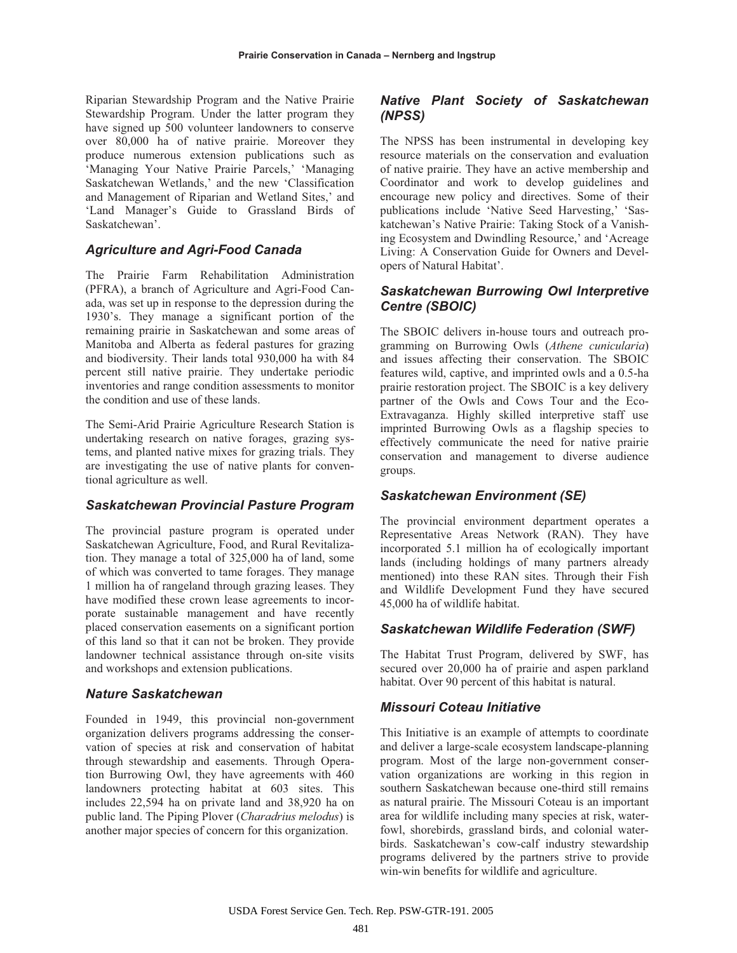Riparian Stewardship Program and the Native Prairie Stewardship Program. Under the latter program they have signed up 500 volunteer landowners to conserve over 80,000 ha of native prairie. Moreover they produce numerous extension publications such as 'Managing Your Native Prairie Parcels,' 'Managing Saskatchewan Wetlands,' and the new 'Classification and Management of Riparian and Wetland Sites,' and 'Land Manager's Guide to Grassland Birds of Saskatchewan'.

#### *Agriculture and Agri-Food Canada*

The Prairie Farm Rehabilitation Administration (PFRA), a branch of Agriculture and Agri-Food Canada, was set up in response to the depression during the 1930's. They manage a significant portion of the remaining prairie in Saskatchewan and some areas of Manitoba and Alberta as federal pastures for grazing and biodiversity. Their lands total 930,000 ha with 84 percent still native prairie. They undertake periodic inventories and range condition assessments to monitor the condition and use of these lands.

The Semi-Arid Prairie Agriculture Research Station is undertaking research on native forages, grazing systems, and planted native mixes for grazing trials. They are investigating the use of native plants for conventional agriculture as well.

#### *Saskatchewan Provincial Pasture Program*

The provincial pasture program is operated under Saskatchewan Agriculture, Food, and Rural Revitalization. They manage a total of 325,000 ha of land, some of which was converted to tame forages. They manage 1 million ha of rangeland through grazing leases. They have modified these crown lease agreements to incorporate sustainable management and have recently placed conservation easements on a significant portion of this land so that it can not be broken. They provide landowner technical assistance through on-site visits and workshops and extension publications.

# *Nature Saskatchewan*

Founded in 1949, this provincial non-government organization delivers programs addressing the conservation of species at risk and conservation of habitat through stewardship and easements. Through Operation Burrowing Owl, they have agreements with 460 landowners protecting habitat at 603 sites. This includes 22,594 ha on private land and 38,920 ha on public land. The Piping Plover (*Charadrius melodus*) is another major species of concern for this organization.

# *Native Plant Society of Saskatchewan (NPSS)*

The NPSS has been instrumental in developing key resource materials on the conservation and evaluation of native prairie. They have an active membership and Coordinator and work to develop guidelines and encourage new policy and directives. Some of their publications include 'Native Seed Harvesting,' 'Saskatchewan's Native Prairie: Taking Stock of a Vanishing Ecosystem and Dwindling Resource,' and 'Acreage Living: A Conservation Guide for Owners and Developers of Natural Habitat'.

# *Saskatchewan Burrowing Owl Interpretive Centre (SBOIC)*

The SBOIC delivers in-house tours and outreach programming on Burrowing Owls (*Athene cunicularia*) and issues affecting their conservation. The SBOIC features wild, captive, and imprinted owls and a 0.5-ha prairie restoration project. The SBOIC is a key delivery partner of the Owls and Cows Tour and the Eco-Extravaganza. Highly skilled interpretive staff use imprinted Burrowing Owls as a flagship species to effectively communicate the need for native prairie conservation and management to diverse audience groups.

# *Saskatchewan Environment (SE)*

The provincial environment department operates a Representative Areas Network (RAN). They have incorporated 5.1 million ha of ecologically important lands (including holdings of many partners already mentioned) into these RAN sites. Through their Fish and Wildlife Development Fund they have secured 45,000 ha of wildlife habitat.

# *Saskatchewan Wildlife Federation (SWF)*

The Habitat Trust Program, delivered by SWF, has secured over 20,000 ha of prairie and aspen parkland habitat. Over 90 percent of this habitat is natural.

# *Missouri Coteau Initiative*

This Initiative is an example of attempts to coordinate and deliver a large-scale ecosystem landscape-planning program. Most of the large non-government conservation organizations are working in this region in southern Saskatchewan because one-third still remains as natural prairie. The Missouri Coteau is an important area for wildlife including many species at risk, waterfowl, shorebirds, grassland birds, and colonial waterbirds. Saskatchewan's cow-calf industry stewardship programs delivered by the partners strive to provide win-win benefits for wildlife and agriculture.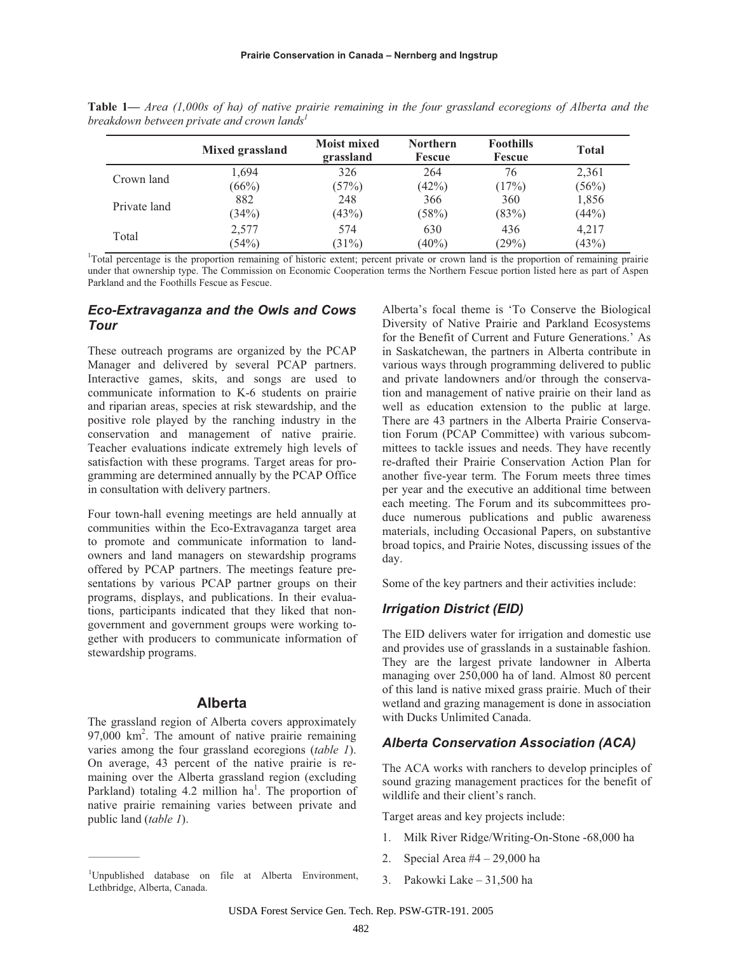|              | Mixed grassland | <b>Moist mixed</b><br>grassland | <b>Northern</b><br>Fescue | <b>Foothills</b><br><b>Fescue</b> | <b>Total</b>   |
|--------------|-----------------|---------------------------------|---------------------------|-----------------------------------|----------------|
| Crown land   | 1,694           | 326                             | 264                       | 76                                | 2,361          |
|              | (66%)           | (57%)                           | (42%)                     | (17%)                             | (56%)          |
| Private land | 882<br>(34%)    | 248<br>(43%)                    | 366<br>(58%)              | 360<br>(83%)                      | 1,856<br>(44%) |
| Total        | 2,577<br>(54%)  | 574<br>$(31\%)$                 | 630<br>$(40\%)$           | 436<br>(29%)                      | 4,217<br>(43%) |

**Table 1***— Area (1,000s of ha) of native prairie remaining in the four grassland ecoregions of Alberta and the breakdown between private and crown lands*<sup>1</sup>

under that ownership type. The Commission on Economic Cooperation terms the Northern Fescue portion listed here as part of Aspen Parkland and the Foothills Fescue as Fescue.

# *Eco-Extravaganza and the Owls and Cows Tour*

These outreach programs are organized by the PCAP Manager and delivered by several PCAP partners. Interactive games, skits, and songs are used to communicate information to K-6 students on prairie and riparian areas, species at risk stewardship, and the positive role played by the ranching industry in the conservation and management of native prairie. Teacher evaluations indicate extremely high levels of satisfaction with these programs. Target areas for programming are determined annually by the PCAP Office in consultation with delivery partners.

Four town-hall evening meetings are held annually at communities within the Eco-Extravaganza target area to promote and communicate information to landowners and land managers on stewardship programs offered by PCAP partners. The meetings feature presentations by various PCAP partner groups on their programs, displays, and publications. In their evaluations, participants indicated that they liked that nongovernment and government groups were working together with producers to communicate information of stewardship programs.

#### **Alberta**

The grassland region of Alberta covers approximately 97,000 km<sup>2</sup>. The amount of native prairie remaining varies among the four grassland ecoregions (*table 1*). On average, 43 percent of the native prairie is remaining over the Alberta grassland region (excluding Parkland) totaling  $4.2$  million ha<sup>1</sup>. The proportion of native prairie remaining varies between private and public land (*table 1*).

 $\mathcal{L}=\mathcal{L}$ 

Alberta's focal theme is 'To Conserve the Biological Diversity of Native Prairie and Parkland Ecosystems for the Benefit of Current and Future Generations.' As in Saskatchewan, the partners in Alberta contribute in various ways through programming delivered to public and private landowners and/or through the conservation and management of native prairie on their land as well as education extension to the public at large. There are 43 partners in the Alberta Prairie Conservation Forum (PCAP Committee) with various subcommittees to tackle issues and needs. They have recently re-drafted their Prairie Conservation Action Plan for another five-year term. The Forum meets three times per year and the executive an additional time between each meeting. The Forum and its subcommittees produce numerous publications and public awareness materials, including Occasional Papers, on substantive broad topics, and Prairie Notes, discussing issues of the day.

Some of the key partners and their activities include:

# *Irrigation District (EID)*

The EID delivers water for irrigation and domestic use and provides use of grasslands in a sustainable fashion. They are the largest private landowner in Alberta managing over 250,000 ha of land. Almost 80 percent of this land is native mixed grass prairie. Much of their wetland and grazing management is done in association with Ducks Unlimited Canada.

#### *Alberta Conservation Association (ACA)*

The ACA works with ranchers to develop principles of sound grazing management practices for the benefit of wildlife and their client's ranch.

Target areas and key projects include:

- 1. Milk River Ridge/Writing-On-Stone -68,000 ha
- 2. Special Area #4 29,000 ha
- 3. Pakowki Lake 31,500 ha

<sup>1</sup> Unpublished database on file at Alberta Environment, Lethbridge, Alberta, Canada.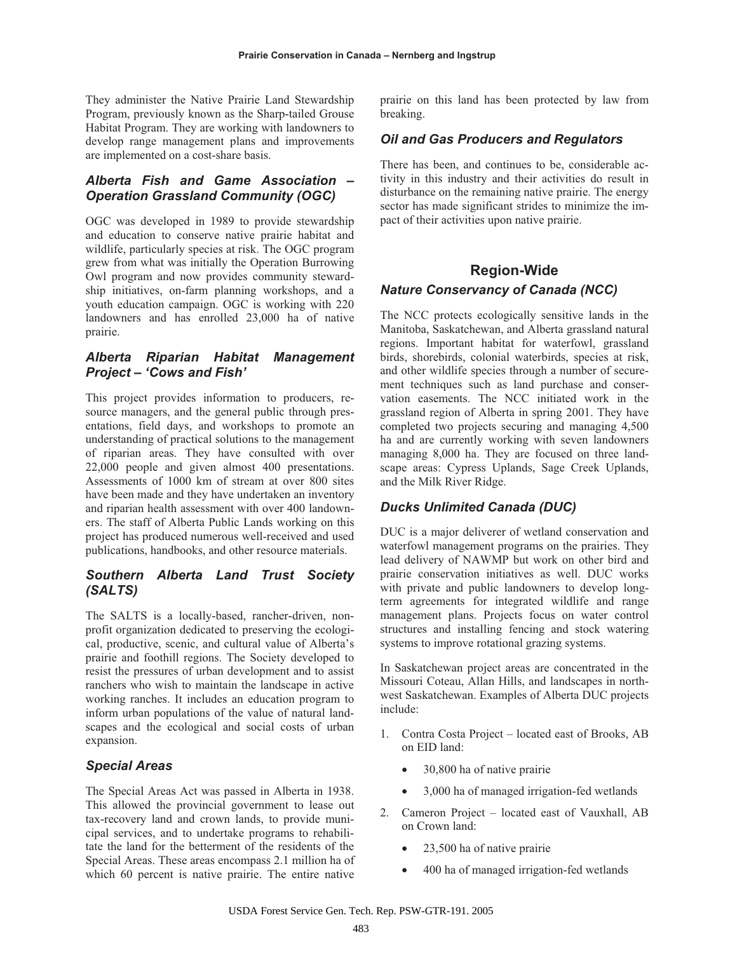They administer the Native Prairie Land Stewardship Program, previously known as the Sharp-tailed Grouse Habitat Program. They are working with landowners to develop range management plans and improvements are implemented on a cost-share basis.

# *Alberta Fish and Game Association – Operation Grassland Community (OGC)*

OGC was developed in 1989 to provide stewardship and education to conserve native prairie habitat and wildlife, particularly species at risk. The OGC program grew from what was initially the Operation Burrowing Owl program and now provides community stewardship initiatives, on-farm planning workshops, and a youth education campaign. OGC is working with 220 landowners and has enrolled 23,000 ha of native prairie.

# *Alberta Riparian Habitat Management Project – 'Cows and Fish'*

This project provides information to producers, resource managers, and the general public through presentations, field days, and workshops to promote an understanding of practical solutions to the management of riparian areas. They have consulted with over 22,000 people and given almost 400 presentations. Assessments of 1000 km of stream at over 800 sites have been made and they have undertaken an inventory and riparian health assessment with over 400 landowners. The staff of Alberta Public Lands working on this project has produced numerous well-received and used publications, handbooks, and other resource materials.

# *Southern Alberta Land Trust Society (SALTS)*

The SALTS is a locally-based, rancher-driven, nonprofit organization dedicated to preserving the ecological, productive, scenic, and cultural value of Alberta's prairie and foothill regions. The Society developed to resist the pressures of urban development and to assist ranchers who wish to maintain the landscape in active working ranches. It includes an education program to inform urban populations of the value of natural landscapes and the ecological and social costs of urban expansion.

#### *Special Areas*

The Special Areas Act was passed in Alberta in 1938. This allowed the provincial government to lease out tax-recovery land and crown lands, to provide municipal services, and to undertake programs to rehabilitate the land for the betterment of the residents of the Special Areas. These areas encompass 2.1 million ha of which 60 percent is native prairie. The entire native

prairie on this land has been protected by law from breaking.

#### *Oil and Gas Producers and Regulators*

There has been, and continues to be, considerable activity in this industry and their activities do result in disturbance on the remaining native prairie. The energy sector has made significant strides to minimize the impact of their activities upon native prairie.

# **Region-Wide**

#### *Nature Conservancy of Canada (NCC)*

The NCC protects ecologically sensitive lands in the Manitoba, Saskatchewan, and Alberta grassland natural regions. Important habitat for waterfowl, grassland birds, shorebirds, colonial waterbirds, species at risk, and other wildlife species through a number of securement techniques such as land purchase and conservation easements. The NCC initiated work in the grassland region of Alberta in spring 2001. They have completed two projects securing and managing 4,500 ha and are currently working with seven landowners managing 8,000 ha. They are focused on three landscape areas: Cypress Uplands, Sage Creek Uplands, and the Milk River Ridge.

#### *Ducks Unlimited Canada (DUC)*

DUC is a major deliverer of wetland conservation and waterfowl management programs on the prairies. They lead delivery of NAWMP but work on other bird and prairie conservation initiatives as well. DUC works with private and public landowners to develop longterm agreements for integrated wildlife and range management plans. Projects focus on water control structures and installing fencing and stock watering systems to improve rotational grazing systems.

In Saskatchewan project areas are concentrated in the Missouri Coteau, Allan Hills, and landscapes in northwest Saskatchewan. Examples of Alberta DUC projects include:

- 1. Contra Costa Project located east of Brooks, AB on EID land:
	- $\bullet$  30,800 ha of native prairie
	- x 3,000 ha of managed irrigation-fed wetlands
- 2. Cameron Project located east of Vauxhall, AB on Crown land:
	- 23,500 ha of native prairie
	- 400 ha of managed irrigation-fed wetlands